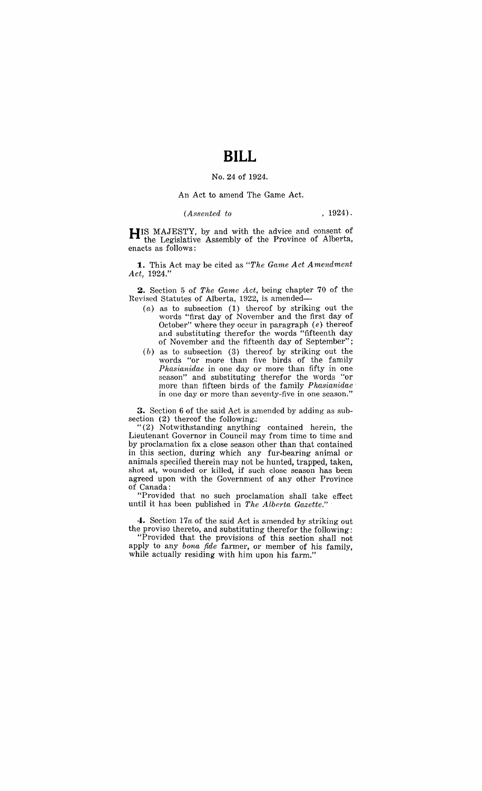# **BILL**

#### No. 24 of 1924.

#### An Act to amend The Game Act.

### *(Assented to* , 1924).

**HIS** MAJESTY, by and with the advice and consent of the Legislative Assembly of the Province of Alberta, enacts as follows:

**1.** This Act may be cited as "The Game Act Amendment *Act, 1924."* 

**2.** Section 5 of *The Game Act,* being chapter 70 of the Revised Statutes of Alberta, 1922, is amended-

- (a) as to subsection (1) thereof by striking out the words "first day of November and the first day of October" where they occur in paragraph (e) thereof and substituting therefor the words "fifteenth day of November and the fifteenth day of September";
- (b) as to subsection (3) thereof by striking out the words "or more than five birds of the family *Phasianidae* in one day or more than fifty in one season" and substituting therefor the words "or more than fifteen birds of the family *Phasianidae .*  in one day or more than seventy-five in one season."

**3.** Section 6 of the said Act is amended by adding as subsection (2) thereof the following.:

"(2) Notwithstanding anything contained herein, the Lieutenant Governor in Council mav from time to time and by proclamation fix a close season other than that contained in this section, during which any fur-bearing animal or animals specified therein may not be hunted, trapped, taken, shot at, wounded or killed, if such close season has been agreed upon with the Government of any other Province of Canada:

"Provided that no such proclamation shall take effect until it has been published in *The Alberta Gazette.*"

4. Section 17*a* of the said Act is amended by striking out the proviso thereto, and substituting therefor the following:

"Provided that the provisions of this section shall not apply to any *bona fide* farmer, or member of his family, while actually residing with him upon his farm."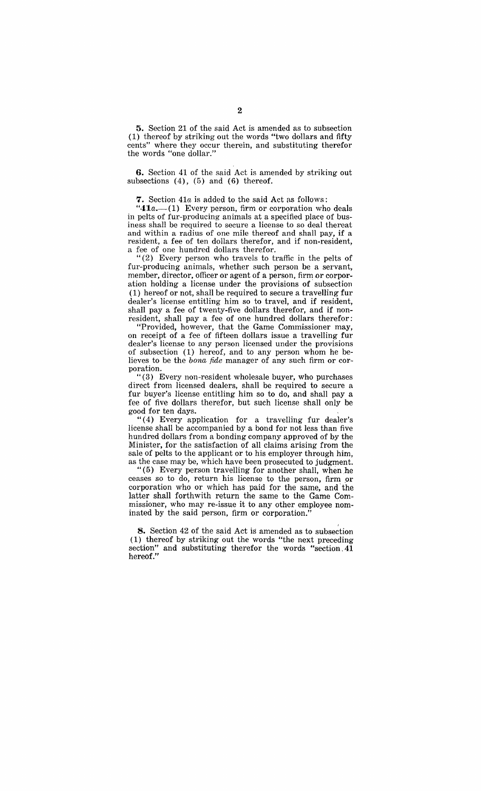5. Section 21 of the said Act is amended as to subsection (1) thereof by striking out the words "two dollars and fifty cents" where they occur therein, and substituting therefor the words "one dollar."

**6.** Section 41 of the said Act is amended by striking out subsections  $(4)$ ,  $(5)$  and  $(6)$  thereof.

**7.** Section *41a,* is added to the said Act as follows:

" $41a$ .-(1) Every person, firm or corporation who deals in pelts of fur-producing animals at a specified place of business shall be required to secure a license to so deal thereat and within a radius of one mile thereof and shall pay, if a resident, a fee of ten dollars therefor, and if non-resident, a fee of one hundred dollars therefor.

"(2) Every person who travels to traffic in the pelts of fur-producing animals, whether such person be a servant, member, director, officer or agent of a person, firm or corporation holding a license under the provisions of subsection (1) hereof or not, shall be required to secure a travelling fur dealer's license entitling him so to travel, and if resident, shall pay a fee of twenty-five dollars therefor, and if nonresident, shall pay a fee of one hundred dollars therefor:

"Provided, however, that the Game Commissioner may, on receipt of a fee of fifteen dollars issue a travelling fur dealer's license to any person licensed under the provisions of subsection (1) hereof, and to any person whom he believes to be the *bona fide* manager of any such firm or corporation.

"(3) Every non-resident wholesale buyer, who purchases direct from licensed dealers, shall be required to secure a fur buyer's license entitling him so to do, and shall pay a fee of five dollars therefor, but such license shall only be good for ten days.

"( 4) Every application for a travelling fur dealer's license shall be accompanied by a bond for not less than five hundred dollars from a bonding company approved of by the Minister, for the satisfaction of all claims arising from the sale of pelts to the applicant or to his employer through him, as the case may be, which have been prosecuted to judgment.

"(5) Every person travelling for another shall, when he ceases so to do, return his license to the person, firm or corporation who or which has paid for the same, and' the latter shall forthwith return the same to the Game Commissioner, who may re-issue it to any other employee nominated by the said person, firm or corporation."

**8.** Section 42 of the said Act is amended as to subsection (1) thereof by striking out the words "the next preceding section" and substituting therefor the words "section. 41 hereof."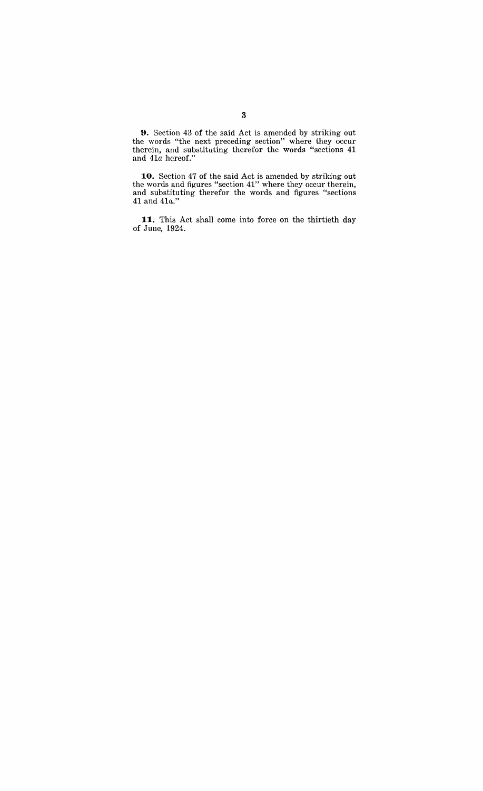9. Section 43 of the said Act is amended by striking out the words "the next preceding section" where they occur therein, and substituting therefor the words "sections 41 and *41a* hereof."

**10.** Section 47 of the said Act is amended by striking out the words and figures "section 41" where they occur therein, and substituting therefor the words and figures "sections 41 and 41 $a$ ."

**11.** This Act shall come into force on the thirtieth day of June, 1924.